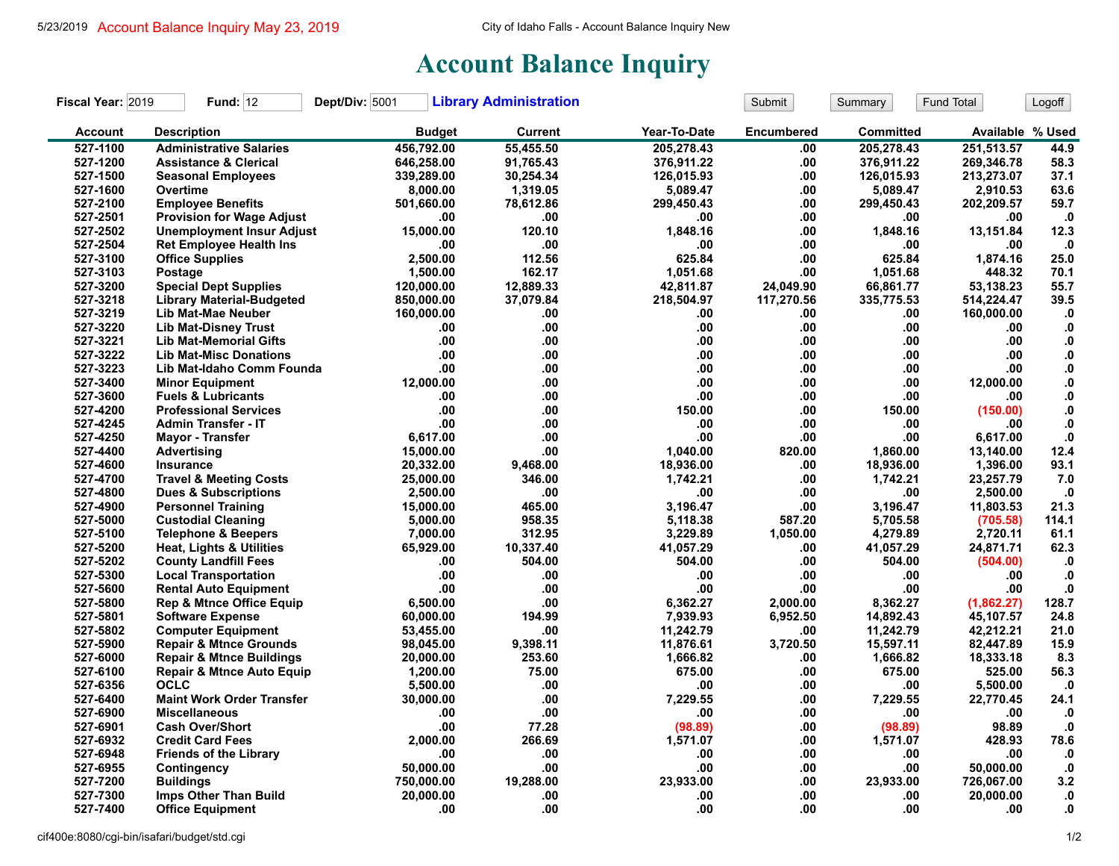## **Account Balance Inquiry**

| Fiscal Year: 2019 | <b>Fund: 12</b>                      | Dept/Div: 5001 | <b>Library Administration</b> |              | Submit            | Summary          | Fund Total       | Logoff           |
|-------------------|--------------------------------------|----------------|-------------------------------|--------------|-------------------|------------------|------------------|------------------|
| <b>Account</b>    | <b>Description</b>                   | <b>Budget</b>  | Current                       | Year-To-Date | <b>Encumbered</b> | <b>Committed</b> | Available % Used |                  |
| 527-1100          | <b>Administrative Salaries</b>       | 456,792.00     | 55.455.50                     | 205.278.43   | .00               | 205,278.43       | 251.513.57       | 44.9             |
| 527-1200          | <b>Assistance &amp; Clerical</b>     | 646,258.00     | 91,765.43                     | 376,911.22   | .00               | 376,911.22       | 269,346.78       | 58.3             |
| 527-1500          | <b>Seasonal Employees</b>            | 339,289.00     | 30,254.34                     | 126,015.93   | .00               | 126,015.93       | 213,273.07       | 37.1             |
| 527-1600          | Overtime                             | 8,000.00       | 1,319.05                      | 5,089.47     | .00               | 5,089.47         | 2,910.53         | 63.6             |
| 527-2100          | <b>Employee Benefits</b>             | 501,660.00     | 78,612.86                     | 299,450.43   | .00               | 299,450.43       | 202,209.57       | 59.7             |
| 527-2501          | <b>Provision for Wage Adjust</b>     | .00            | .00                           | .00          | .00.              | .00              | .00              | $\cdot$          |
| 527-2502          | <b>Unemployment Insur Adjust</b>     | 15,000.00      | 120.10                        | 1,848.16     | .00.              | 1,848.16         | 13,151.84        | 12.3             |
| 527-2504          | <b>Ret Employee Health Ins</b>       | .00            | .00                           | .00          | .00               | .00              | .00              | $\cdot$ 0        |
| 527-3100          | <b>Office Supplies</b>               | 2,500.00       | 112.56                        | 625.84       | .00.              | 625.84           | 1,874.16         | 25.0             |
| 527-3103          | <b>Postage</b>                       | 1,500.00       | 162.17                        | 1.051.68     | .00               | 1.051.68         | 448.32           | 70.1             |
| 527-3200          | <b>Special Dept Supplies</b>         | 120,000.00     | 12,889.33                     | 42,811.87    | 24,049.90         | 66,861.77        | 53,138.23        | 55.7             |
| 527-3218          | <b>Library Material-Budgeted</b>     | 850,000.00     | 37,079.84                     | 218,504.97   | 117,270.56        | 335,775.53       | 514,224.47       | 39.5             |
| 527-3219          | Lib Mat-Mae Neuber                   | 160,000.00     | .00                           | .00.         | .00               | .00              | 160,000.00       | $\mathbf{0}$     |
| 527-3220          | <b>Lib Mat-Disney Trust</b>          | .00            | .00                           | .00          | .00               | .00              | .00              | $\mathbf{0}$     |
| 527-3221          | <b>Lib Mat-Memorial Gifts</b>        | .00            | .00                           | .00          | .00               | .00              | .00              | ${\bf .0}$       |
| 527-3222          | <b>Lib Mat-Misc Donations</b>        | .00            | $.00\,$                       | .00          | .00               | .00              | .00              | ${\bf .0}$       |
| 527-3223          | Lib Mat-Idaho Comm Founda            | .00            | .00                           | .00          | .00               | .00              | .00              | $\boldsymbol{0}$ |
| 527-3400          | <b>Minor Equipment</b>               | 12,000.00      | .00                           | .00.         | .00.              | .00              | 12,000.00        | 0.               |
| 527-3600          | <b>Fuels &amp; Lubricants</b>        | .00            | .00                           | .00          | .00.              | .00              | .00              | ${\bf 0}.$       |
| 527-4200          | <b>Professional Services</b>         | .00            | .00                           | 150.00       | .00.              | 150.00           | (150.00)         | ${\bf .0}$       |
| 527-4245          | <b>Admin Transfer - IT</b>           | .00            | .00                           | .00          | .00               | .00              | .00              | ${\bf .0}$       |
| 527-4250          | <b>Mayor - Transfer</b>              | 6,617.00       | .00                           | .00          | .00               | .00              | 6,617.00         | ${\bf .0}$       |
| 527-4400          | Advertising                          | 15,000.00      | .00                           | 1.040.00     | 820.00            | 1.860.00         | 13,140.00        | 12.4             |
| 527-4600          | Insurance                            | 20,332.00      | 9,468.00                      | 18,936.00    | .00               | 18,936.00        | 1,396.00         | 93.1             |
| 527-4700          | <b>Travel &amp; Meeting Costs</b>    | 25,000.00      | 346.00                        | 1,742.21     | .00               | 1,742.21         | 23,257.79        | 7.0              |
| 527-4800          | <b>Dues &amp; Subscriptions</b>      | 2,500.00       | .00                           | .00          | .00               | .00              | 2,500.00         | $\cdot$          |
| 527-4900          | <b>Personnel Training</b>            | 15,000.00      | 465.00                        | 3.196.47     | .00               | 3,196.47         | 11,803.53        | 21.3             |
| 527-5000          | <b>Custodial Cleaning</b>            | 5,000.00       | 958.35                        | 5,118.38     | 587.20            | 5,705.58         | (705.58)         | 114.1            |
| 527-5100          | <b>Telephone &amp; Beepers</b>       | 7,000.00       | 312.95                        | 3,229.89     | 1,050.00          | 4,279.89         | 2,720.11         | 61.1             |
| 527-5200          | <b>Heat, Lights &amp; Utilities</b>  | 65,929.00      | 10,337.40                     | 41,057.29    | .00               | 41,057.29        | 24,871.71        | 62.3             |
| 527-5202          | <b>County Landfill Fees</b>          | .00            | 504.00                        | 504.00       | .00               | 504.00           | (504.00)         | $\cdot$          |
| 527-5300          | <b>Local Transportation</b>          | .00            | .00                           | .00          | .00.              | .00              | .00              | $\cdot$          |
| 527-5600          | <b>Rental Auto Equipment</b>         | .00            | .00                           | .00          | .00               | .00              | .00              | $\mathbf{0}$     |
| 527-5800          | <b>Rep &amp; Mtnce Office Equip</b>  | 6,500.00       | .00                           | 6,362.27     | 2,000.00          | 8,362.27         | (1,862.27)       | 128.7            |
| 527-5801          | <b>Software Expense</b>              | 60,000.00      | 194.99                        | 7.939.93     | 6,952.50          | 14,892.43        | 45,107.57        | 24.8             |
| 527-5802          | <b>Computer Equipment</b>            | 53,455.00      | .00                           | 11.242.79    | .00               | 11,242.79        | 42,212.21        | 21.0             |
| 527-5900          | <b>Repair &amp; Mtnce Grounds</b>    | 98,045.00      | 9,398.11                      | 11,876.61    | 3,720.50          | 15,597.11        | 82,447.89        | 15.9             |
| 527-6000          | <b>Repair &amp; Mtnce Buildings</b>  | 20,000.00      | 253.60                        | 1,666.82     | .00               | 1,666.82         | 18,333.18        | 8.3              |
| 527-6100          | <b>Repair &amp; Mtnce Auto Equip</b> | 1,200.00       | 75.00                         | 675.00       | .00.              | 675.00           | 525.00           | 56.3             |
| 527-6356          | <b>OCLC</b>                          | 5,500.00       | .00                           | .00          | .00.              | .00              | 5,500.00         | $\cdot$ 0        |
| 527-6400          | <b>Maint Work Order Transfer</b>     | 30,000.00      | .00                           | 7,229.55     | .00.              | 7,229.55         | 22,770.45        | 24.1             |
| 527-6900          | <b>Miscellaneous</b>                 | .00            | .00                           | .00          | .00.              | .00              | .00              | $\mathbf{.0}$    |
| 527-6901          | <b>Cash Over/Short</b>               | .00            | 77.28                         | (98.89)      | .00               | (98.89)          | 98.89            | $\mathbf{0}$     |
| 527-6932          | <b>Credit Card Fees</b>              | 2.000.00       | 266.69                        | 1,571.07     | .00.              | 1,571.07         | 428.93           | 78.6             |
| 527-6948          | <b>Friends of the Library</b>        | .00            | .00                           | .00          | .00.              | .00              | .00              | $\cdot$ 0        |
| 527-6955          | Contingency                          | 50,000.00      | .00                           | .00          | .00               | .00              | 50,000.00        | .0               |
| 527-7200          | <b>Buildings</b>                     | 750,000.00     | 19,288.00                     | 23,933.00    | .00.              | 23,933.00        | 726,067.00       | 3.2              |
| 527-7300          | Imps Other Than Build                | 20,000.00      | .00                           | .00          | .00               | .00              | 20,000.00        | ${\bf .0}$       |
| 527-7400          | <b>Office Equipment</b>              | .00            | .00                           | .00          | .00               | .00              | .00              | 0.               |